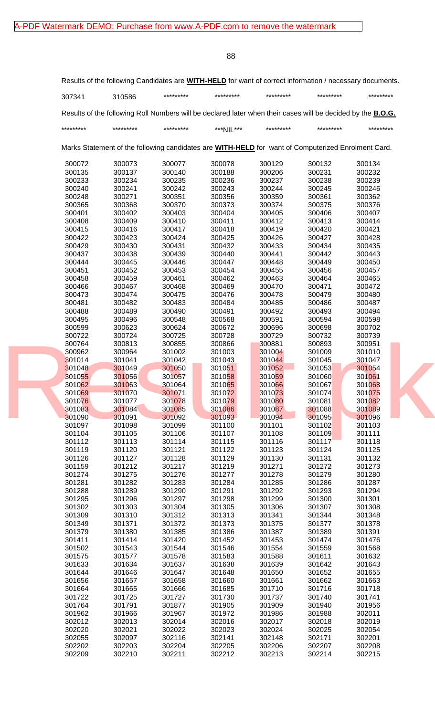|                            | Results of the following Candidates are <b>WITH-HELD</b> for want of correct information / necessary documents.    |                            |                            |                            |                            |                            |
|----------------------------|--------------------------------------------------------------------------------------------------------------------|----------------------------|----------------------------|----------------------------|----------------------------|----------------------------|
| 307341                     | 310586                                                                                                             | *********                  | *********                  | *********                  | *********                  | *********                  |
|                            | Results of the following Roll Numbers will be declared later when their cases will be decided by the <b>B.O.G.</b> |                            |                            |                            |                            |                            |
| *********                  | *********                                                                                                          | *********                  | ***NIL***                  | *********                  | *********                  | *********                  |
|                            | Marks Statement of the following candidates are WITH-HELD for want of Computerized Enrolment Card.                 |                            |                            |                            |                            |                            |
| 300072                     | 300073                                                                                                             | 300077                     | 300078                     | 300129                     | 300132                     | 300134                     |
| 300135                     | 300137                                                                                                             | 300140                     | 300188                     | 300206                     | 300231                     | 300232                     |
| 300233                     | 300234                                                                                                             | 300235                     | 300236                     | 300237                     | 300238                     | 300239                     |
| 300240                     | 300241                                                                                                             | 300242                     | 300243                     | 300244                     | 300245                     | 300246                     |
| 300248                     | 300271                                                                                                             | 300351                     | 300356                     | 300359                     | 300361                     | 300362                     |
| 300365                     | 300368                                                                                                             | 300370                     | 300373                     | 300374                     | 300375                     | 300376                     |
| 300401                     | 300402                                                                                                             | 300403                     | 300404                     | 300405                     | 300406                     | 300407                     |
| 300408                     | 300409                                                                                                             | 300410                     | 300411                     | 300412                     | 300413                     | 300414                     |
| 300415                     | 300416                                                                                                             | 300417                     | 300418                     | 300419                     | 300420                     | 300421                     |
| 300422                     | 300423                                                                                                             | 300424                     | 300425                     | 300426                     | 300427                     | 300428                     |
| 300429                     | 300430                                                                                                             | 300431                     | 300432                     | 300433                     | 300434                     | 300435                     |
| 300437                     |                                                                                                                    | 300439                     | 300440                     | 300441                     |                            |                            |
| 300444                     | 300438                                                                                                             |                            | 300447                     | 300448                     | 300442                     | 300443<br>300450           |
| 300451                     | 300445                                                                                                             | 300446                     |                            |                            | 300449                     |                            |
|                            | 300452                                                                                                             | 300453                     | 300454                     | 300455                     | 300456                     | 300457                     |
| 300458                     | 300459                                                                                                             | 300461                     | 300462                     | 300463                     | 300464                     | 300465                     |
| 300466                     | 300467                                                                                                             | 300468                     | 300469                     | 300470                     | 300471                     | 300472                     |
| 300473                     | 300474                                                                                                             | 300475                     | 300476                     | 300478                     | 300479                     | 300480                     |
| 300481                     | 300482                                                                                                             | 300483                     | 300484                     | 300485                     | 300486                     | 300487                     |
| 300488                     | 300489                                                                                                             | 300490                     | 300491                     | 300492                     | 300493                     | 300494                     |
| 300495                     | 300496                                                                                                             | 300548                     | 300568                     | 300591                     | 300594                     | 300598                     |
| 300599                     | 300623                                                                                                             | 300624                     | 300672                     | 300696                     | 300698                     | 300702                     |
| 300722                     | 300724                                                                                                             | 300725                     | 300728                     | 300729                     | 300732                     | 300739                     |
| 300764                     | 300813                                                                                                             | 300855                     | 300866                     | 300881                     | 300893                     | 300951                     |
| 300962                     | 300964                                                                                                             | 301002                     | 301003                     | 301004                     | 301009                     | 301010                     |
| 301014                     | 301041                                                                                                             | 301042                     | 301043                     | 301044                     | 301045                     | 301047                     |
| 301048                     | 301049                                                                                                             | 301050                     | 301051                     | 301052                     | 301053                     | 301054                     |
| 301055                     | 301056                                                                                                             | 301057                     | 301058                     | 301059                     | 301060                     | 301061                     |
| 301062                     | 301063                                                                                                             | 301064                     | 301065                     | 301066                     | 301067                     | 301068                     |
| 301069                     | 301070                                                                                                             | 301071                     | 301072                     | 301073                     | 301074                     | 301075                     |
| 301076                     | 301077                                                                                                             | 301078                     | 301079                     | 301080                     | 301081                     | 301082                     |
| 301083                     | 301084                                                                                                             | 301085                     | 301086                     | 301087                     | 301088                     | 301089                     |
| 301090                     | 301091                                                                                                             | 301092                     | 301093                     | 301094                     | 301095                     | 301096                     |
| 301097                     | 301098                                                                                                             | 301099                     | 301100                     | 301101                     | 301102                     | 301103                     |
| 301104                     | 301105                                                                                                             | 301106                     | 301107                     | 301108                     | 301109                     | 301111                     |
| 301112                     | 301113                                                                                                             | 301114                     | 301115                     | 301116                     | 301117                     | 301118                     |
| 301119                     | 301120                                                                                                             | 301121                     | 301122                     | 301123                     | 301124                     | 301125                     |
| 301126                     | 301127                                                                                                             | 301128                     | 301129                     | 301130                     | 301131                     | 301132                     |
| 301159                     | 301212                                                                                                             | 301217                     | 301219                     | 301271                     | 301272                     | 301273                     |
| 301274                     | 301275                                                                                                             | 301276                     | 301277                     | 301278                     | 301279                     | 301280                     |
| 301281                     | 301282                                                                                                             | 301283                     | 301284                     | 301285                     | 301286                     | 301287                     |
| 301288                     | 301289                                                                                                             | 301290                     | 301291                     | 301292                     | 301293                     | 301294                     |
| 301295                     | 301296                                                                                                             | 301297                     | 301298                     | 301299                     | 301300                     | 301301                     |
| 301302                     | 301303                                                                                                             | 301304                     | 301305                     | 301306                     | 301307                     | 301308                     |
| 301309                     | 301310                                                                                                             | 301312                     | 301313                     | 301341                     | 301344                     | 301348                     |
| 301349                     | 301371                                                                                                             | 301372                     | 301373                     | 301375                     | 301377                     | 301378                     |
| 301379                     | 301380                                                                                                             | 301385                     | 301386                     | 301387                     | 301389                     | 301391                     |
| 301411                     | 301414                                                                                                             | 301420                     | 301452                     | 301453                     | 301474                     | 301476                     |
| 301502                     | 301543                                                                                                             | 301544                     | 301546                     | 301554                     | 301559                     | 301568                     |
| 301575                     | 301577                                                                                                             | 301578                     | 301583                     | 301588                     | 301611                     | 301632                     |
| 301633                     | 301634                                                                                                             | 301637                     | 301638                     | 301639                     | 301642                     | 301643                     |
| 301644                     | 301646                                                                                                             | 301647                     | 301648                     | 301650                     | 301652                     | 301655                     |
| 301656                     | 301657                                                                                                             | 301658                     | 301660                     | 301661                     | 301662                     | 301663                     |
| 301664                     | 301665                                                                                                             | 301666                     | 301685                     | 301710                     | 301716                     | 301718                     |
| 301722                     | 301725                                                                                                             | 301727                     | 301730                     | 301737                     | 301740                     | 301741                     |
| 301764                     | 301791                                                                                                             | 301877                     | 301905                     | 301909                     | 301940                     | 301956                     |
| 301962                     | 301966                                                                                                             | 301967                     | 301972                     | 301986                     | 301988                     | 302011                     |
| 302012                     | 302013                                                                                                             | 302014                     | 302016                     | 302017                     | 302018                     | 302019                     |
| 302020                     | 302021                                                                                                             | 302022                     | 302023                     | 302024                     | 302025                     | 302054                     |
|                            |                                                                                                                    |                            |                            |                            |                            |                            |
|                            |                                                                                                                    |                            |                            |                            |                            |                            |
|                            |                                                                                                                    |                            |                            |                            |                            |                            |
| 302055<br>302202<br>302209 | 302097<br>302203<br>302210                                                                                         | 302116<br>302204<br>302211 | 302141<br>302205<br>302212 | 302148<br>302206<br>302213 | 302171<br>302207<br>302214 | 302201<br>302208<br>302215 |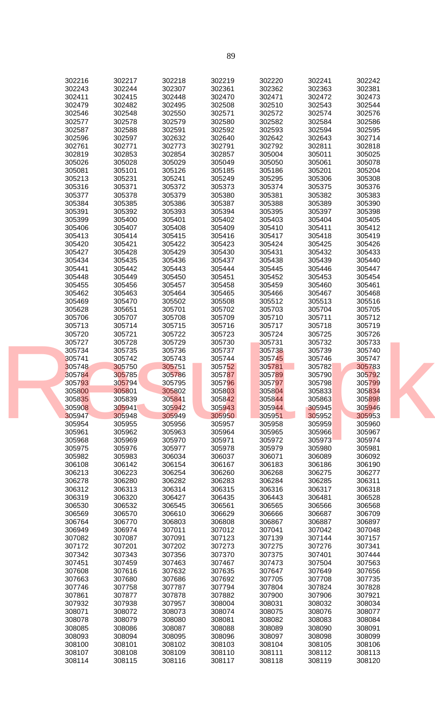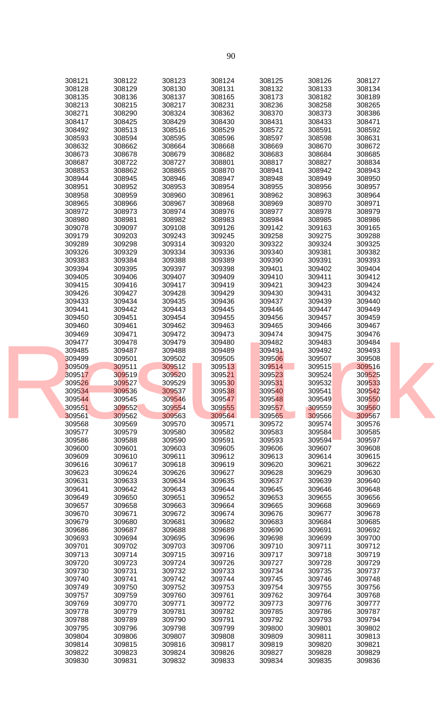| 308121 | 308122 | 308123 | 308124 | 308125 | 308126 | 308127 |  |
|--------|--------|--------|--------|--------|--------|--------|--|
|        |        |        |        |        |        |        |  |
| 308128 | 308129 | 308130 | 308131 | 308132 | 308133 | 308134 |  |
| 308135 | 308136 | 308137 | 308165 | 308173 | 308182 | 308189 |  |
| 308213 | 308215 | 308217 | 308231 | 308236 | 308258 | 308265 |  |
| 308271 | 308290 | 308324 | 308362 | 308370 | 308373 | 308386 |  |
| 308417 | 308425 | 308429 | 308430 | 308431 | 308433 | 308471 |  |
| 308492 | 308513 | 308516 | 308529 | 308572 | 308591 | 308592 |  |
| 308593 | 308594 | 308595 | 308596 | 308597 | 308598 | 308631 |  |
|        |        |        |        |        |        |        |  |
| 308632 | 308662 | 308664 | 308668 | 308669 | 308670 | 308672 |  |
| 308673 | 308678 | 308679 | 308682 | 308683 | 308684 | 308685 |  |
| 308687 | 308722 | 308727 | 308801 | 308817 | 308827 | 308834 |  |
| 308853 | 308862 | 308865 | 308870 | 308941 | 308942 | 308943 |  |
| 308944 | 308945 | 308946 | 308947 | 308948 | 308949 | 308950 |  |
| 308951 | 308952 | 308953 | 308954 | 308955 | 308956 | 308957 |  |
| 308958 | 308959 | 308960 | 308961 | 308962 | 308963 | 308964 |  |
|        |        |        |        |        |        |        |  |
| 308965 | 308966 | 308967 | 308968 | 308969 | 308970 | 308971 |  |
| 308972 | 308973 | 308974 | 308976 | 308977 | 308978 | 308979 |  |
| 308980 | 308981 | 308982 | 308983 | 308984 | 308985 | 308986 |  |
| 309078 | 309097 | 309108 | 309126 | 309142 | 309163 | 309165 |  |
| 309179 | 309203 | 309243 | 309245 | 309258 | 309275 | 309288 |  |
| 309289 | 309298 | 309314 | 309320 | 309322 | 309324 | 309325 |  |
| 309326 | 309329 | 309334 | 309336 | 309340 | 309381 | 309382 |  |
| 309383 | 309384 | 309388 | 309389 | 309390 | 309391 | 309393 |  |
|        |        |        |        |        |        |        |  |
| 309394 | 309395 | 309397 | 309398 | 309401 | 309402 | 309404 |  |
| 309405 | 309406 | 309407 | 309409 | 309410 | 309411 | 309412 |  |
| 309415 | 309416 | 309417 | 309419 | 309421 | 309423 | 309424 |  |
| 309426 | 309427 | 309428 | 309429 | 309430 | 309431 | 309432 |  |
| 309433 | 309434 | 309435 | 309436 | 309437 | 309439 | 309440 |  |
| 309441 | 309442 | 309443 | 309445 | 309446 | 309447 | 309449 |  |
| 309450 | 309451 | 309454 | 309455 | 309456 | 309457 | 309459 |  |
|        |        |        |        |        |        |        |  |
| 309460 | 309461 | 309462 | 309463 | 309465 | 309466 | 309467 |  |
| 309469 | 309471 | 309472 | 309473 | 309474 | 309475 | 309476 |  |
| 309477 | 309478 | 309479 | 309480 | 309482 | 309483 | 309484 |  |
| 309485 | 309487 | 309488 | 309489 | 309491 | 309492 | 309493 |  |
| 309499 | 309501 | 309502 | 309505 | 309506 | 309507 | 309508 |  |
| 309509 | 309511 | 309512 | 309513 | 309514 | 309515 | 309516 |  |
| 309517 | 309519 | 309520 | 309521 | 309523 | 309524 | 309525 |  |
|        |        |        |        |        |        |        |  |
| 309526 | 309527 | 309529 | 309530 | 309531 | 309532 | 309533 |  |
| 309534 | 309536 | 309537 | 309538 | 309540 | 309541 | 309542 |  |
| 309544 | 309545 | 309546 | 309547 | 309548 | 309549 | 309550 |  |
| 309551 | 309552 | 309554 | 309555 | 309557 | 309559 | 309560 |  |
| 309561 | 309562 | 309563 | 309564 | 309565 | 309566 | 309567 |  |
| 309568 | 309569 | 309570 | 309571 | 309572 | 309574 | 309576 |  |
| 309577 | 309579 | 309580 | 309582 | 309583 | 309584 | 309585 |  |
| 309586 | 309588 | 309590 | 309591 | 309593 | 309594 | 309597 |  |
| 309600 | 309601 | 309603 | 309605 | 309606 | 309607 | 309608 |  |
|        |        |        |        |        |        |        |  |
| 309609 | 309610 | 309611 | 309612 | 309613 | 309614 | 309615 |  |
| 309616 | 309617 | 309618 | 309619 | 309620 | 309621 | 309622 |  |
| 309623 | 309624 | 309626 | 309627 | 309628 | 309629 | 309630 |  |
| 309631 | 309633 | 309634 | 309635 | 309637 | 309639 | 309640 |  |
| 309641 | 309642 | 309643 | 309644 | 309645 | 309646 | 309648 |  |
| 309649 | 309650 | 309651 | 309652 | 309653 | 309655 | 309656 |  |
| 309657 | 309658 | 309663 | 309664 | 309665 | 309668 | 309669 |  |
| 309670 | 309671 | 309672 | 309674 | 309676 | 309677 | 309678 |  |
| 309679 | 309680 | 309681 | 309682 | 309683 | 309684 | 309685 |  |
|        |        |        |        |        |        |        |  |
| 309686 | 309687 | 309688 | 309689 | 309690 | 309691 | 309692 |  |
| 309693 | 309694 | 309695 | 309696 | 309698 | 309699 | 309700 |  |
| 309701 | 309702 | 309703 | 309706 | 309710 | 309711 | 309712 |  |
| 309713 | 309714 | 309715 | 309716 | 309717 | 309718 | 309719 |  |
| 309720 | 309723 | 309724 | 309726 | 309727 | 309728 | 309729 |  |
| 309730 | 309731 | 309732 | 309733 | 309734 | 309735 | 309737 |  |
| 309740 | 309741 | 309742 | 309744 | 309745 | 309746 | 309748 |  |
| 309749 | 309750 | 309752 | 309753 | 309754 | 309755 | 309756 |  |
|        |        |        |        |        |        |        |  |
| 309757 | 309759 | 309760 | 309761 | 309762 | 309764 | 309768 |  |
| 309769 | 309770 | 309771 | 309772 | 309773 | 309776 | 309777 |  |
| 309778 | 309779 | 309781 | 309782 | 309785 | 309786 | 309787 |  |
| 309788 | 309789 | 309790 | 309791 | 309792 | 309793 | 309794 |  |
| 309795 | 309796 | 309798 | 309799 | 309800 | 309801 | 309802 |  |
| 309804 | 309806 | 309807 | 309808 | 309809 | 309811 | 309813 |  |
| 309814 | 309815 | 309816 | 309817 | 309819 | 309820 | 309821 |  |
| 309822 | 309823 | 309824 | 309826 | 309827 | 309828 | 309829 |  |
|        |        |        |        |        | 309835 |        |  |
| 309830 | 309831 | 309832 | 309833 | 309834 |        | 309836 |  |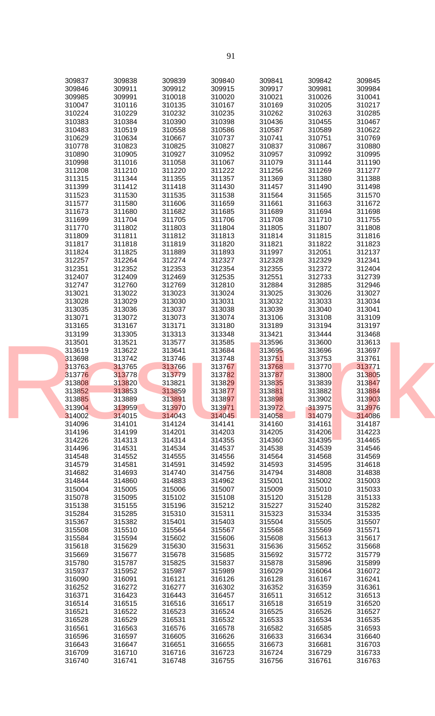